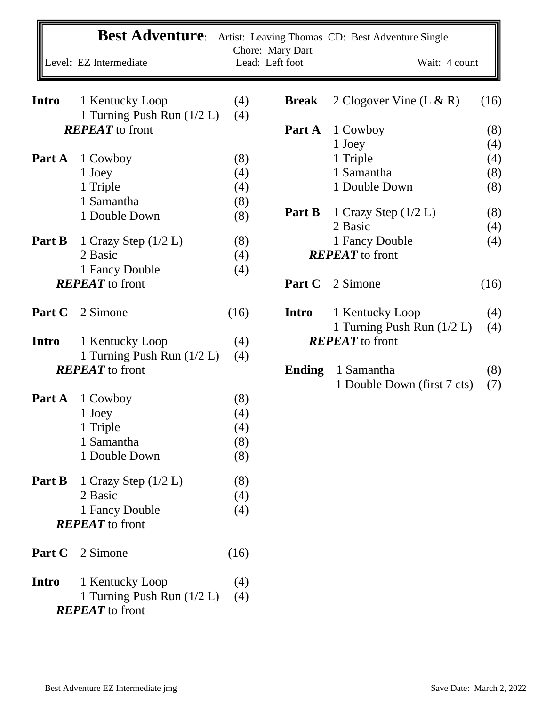|              |        | <b>Best Adventure:</b>                        |            | Chore: Mary Dart | Artist: Leaving Thomas CD: Best Adventure Single |            |
|--------------|--------|-----------------------------------------------|------------|------------------|--------------------------------------------------|------------|
|              |        | Level: EZ Intermediate                        |            | Lead: Left foot  | Wait: 4 count                                    |            |
| <b>Intro</b> |        | 1 Kentucky Loop<br>1 Turning Push Run (1/2 L) | (4)<br>(4) | <b>Break</b>     | 2 Clogover Vine $(L & R)$                        | (16)       |
|              |        | <b>REPEAT</b> to front                        |            | Part A           | 1 Cowboy                                         | (8)        |
|              |        |                                               |            |                  | 1 Joey                                           | (4)        |
| Part A       |        | 1 Cowboy                                      | (8)        |                  | 1 Triple                                         | (4)        |
|              |        | 1 Joey                                        | (4)        |                  | 1 Samantha                                       | (8)        |
|              |        | 1 Triple                                      | (4)        |                  | 1 Double Down                                    | (8)        |
|              |        | 1 Samantha                                    | (8)        |                  |                                                  |            |
|              |        | 1 Double Down                                 | (8)        | Part B           | 1 Crazy Step $(1/2 L)$                           | (8)        |
|              |        |                                               |            |                  | 2 Basic                                          | (4)        |
|              | Part B | 1 Crazy Step $(1/2 L)$                        | (8)        |                  | 1 Fancy Double                                   | (4)        |
|              |        | 2 Basic                                       | (4)        |                  | <b>REPEAT</b> to front                           |            |
|              |        | 1 Fancy Double                                | (4)        |                  |                                                  |            |
|              |        | <b>REPEAT</b> to front                        |            | Part C           | 2 Simone                                         | (16)       |
|              | Part C | 2 Simone                                      | (16)       | Intro            | 1 Kentucky Loop                                  | (4)        |
|              |        |                                               |            |                  | 1 Turning Push Run (1/2 L)                       | (4)        |
| <b>Intro</b> |        | 1 Kentucky Loop                               | (4)        |                  | <b>REPEAT</b> to front                           |            |
|              |        | 1 Turning Push Run $(1/2 L)$                  | (4)        |                  |                                                  |            |
|              |        | <b>REPEAT</b> to front                        |            | <b>Ending</b>    | 1 Samantha<br>1 Double Down (first 7 cts)        | (8)<br>(7) |
|              | Part A | 1 Cowboy                                      | (8)        |                  |                                                  |            |
|              |        | 1 Joey                                        | (4)        |                  |                                                  |            |
|              |        | 1 Triple                                      | (4)        |                  |                                                  |            |
|              |        | 1 Samantha                                    | (8)        |                  |                                                  |            |
|              |        | 1 Double Down                                 | (8)        |                  |                                                  |            |
|              | Part B | 1 Crazy Step $(1/2 L)$                        | (8)        |                  |                                                  |            |
|              |        | 2 Basic                                       | (4)        |                  |                                                  |            |
|              |        | 1 Fancy Double                                | (4)        |                  |                                                  |            |
|              |        | <b>REPEAT</b> to front                        |            |                  |                                                  |            |
|              | Part C | 2 Simone                                      | (16)       |                  |                                                  |            |
| Intro        |        | 1 Kentucky Loop                               | (4)        |                  |                                                  |            |
|              |        | 1 Turning Push Run (1/2 L)                    | (4)        |                  |                                                  |            |
|              |        | <b>REPEAT</b> to front                        |            |                  |                                                  |            |